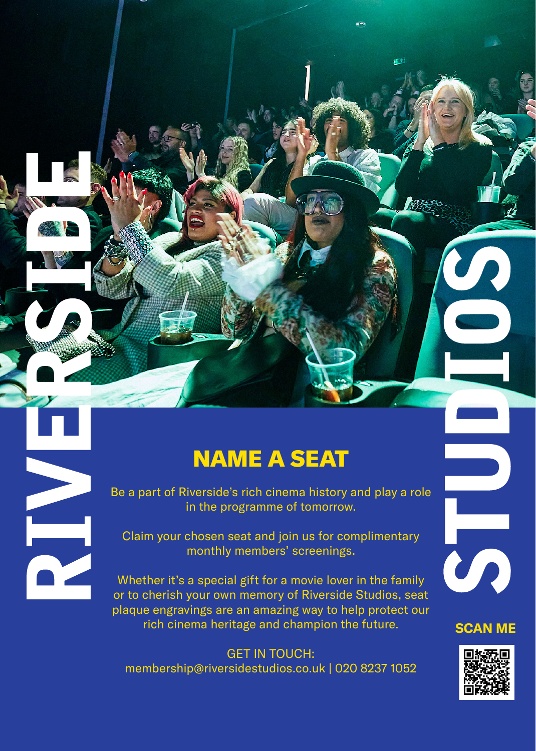# NAME A SEAT

Be a part of Riverside's rich cinema history and play a role in the programme of tomorrow.

Claim your chosen seat and join us for complimentary monthly members' screenings.

NIA

Whether it's a special gift for a movie lover in the family or to cherish your own memory of Riverside Studios, seat plaque engravings are an amazing way to help protect our rich cinema heritage and champion the future.

GET IN TOUCH: membership@riversidestudios.co.uk | 020 8237 1052



m

 $\frac{3}{2}$ 

细心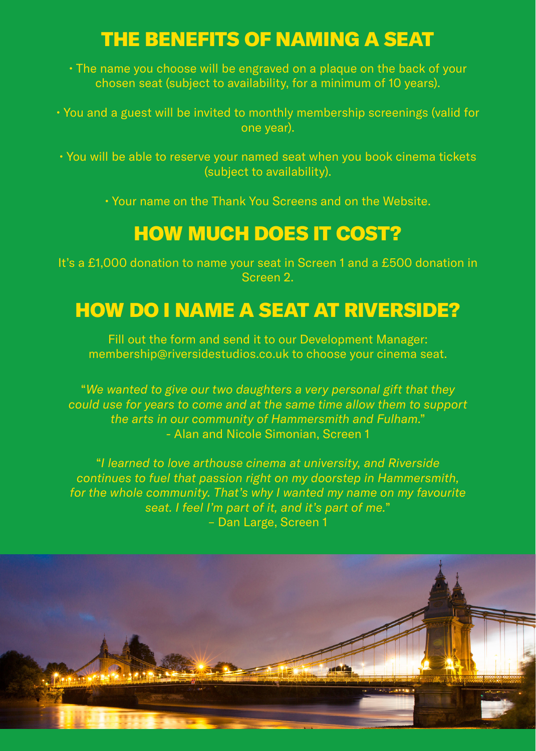# THE BENEFITS OF NAMING A SEAT

• The name you choose will be engraved on a plaque on the back of your chosen seat (subject to availability, for a minimum of 10 years).

• You and a guest will be invited to monthly membership screenings (valid for one year).

• You will be able to reserve your named seat when you book cinema tickets (subject to availability).

• Your name on the Thank You Screens and on the Website.

# HOW MUCH DOES IT COST?

It's a £1,000 donation to name your seat in Screen 1 and a £500 donation in Screen 2.

# HOW DO I NAME A SEAT AT RIVERSIDE?

Fill out the form and send it to our Development Manager: membership@riversidestudios.co.uk to choose your cinema seat.

"*We wanted to give our two daughters a very personal gift that they could use for years to come and at the same time allow them to support the arts in our community of Hammersmith and Fulham*." - Alan and Nicole Simonian, Screen 1

"*I learned to love arthouse cinema at university, and Riverside continues to fuel that passion right on my doorstep in Hammersmith, for the whole community. That's why I wanted my name on my favourite seat. I feel I'm part of it, and it's part of me.*" – Dan Large, Screen 1

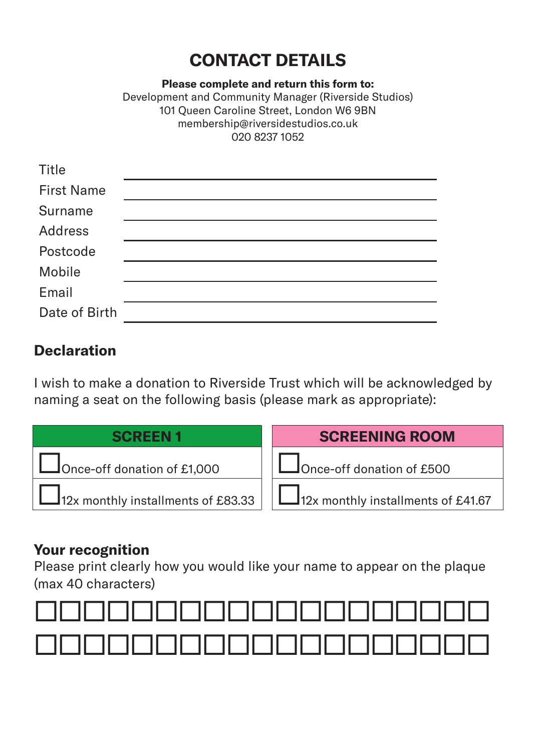### **CONTACT DETAILS**

**Please complete and return this form to:**

Development and Community Manager (Riverside Studios) 101 Queen Caroline Street, London W6 9BN membership@riversidestudios.co.uk 020 8237 1052

| Title             |  |
|-------------------|--|
| <b>First Name</b> |  |
| Surname           |  |
| Address           |  |
| Postcode          |  |
| Mobile            |  |
| Email             |  |
| Date of Birth     |  |
|                   |  |

### **Declaration**

I wish to make a donation to Riverside Trust which will be acknowledged by naming a seat on the following basis (please mark as appropriate):

| <b>SCREEN1</b>                            | <b>SCREENING ROOM</b>                     |
|-------------------------------------------|-------------------------------------------|
| Once-off donation of £1,000               | $\Box$ Once-off donation of £500          |
| $\Box$ 12x monthly installments of £83.33 | $\Box$ 12x monthly installments of £41.67 |

### **Your recognition**

Please print clearly how you would like your name to appear on the plaque (max 40 characters)